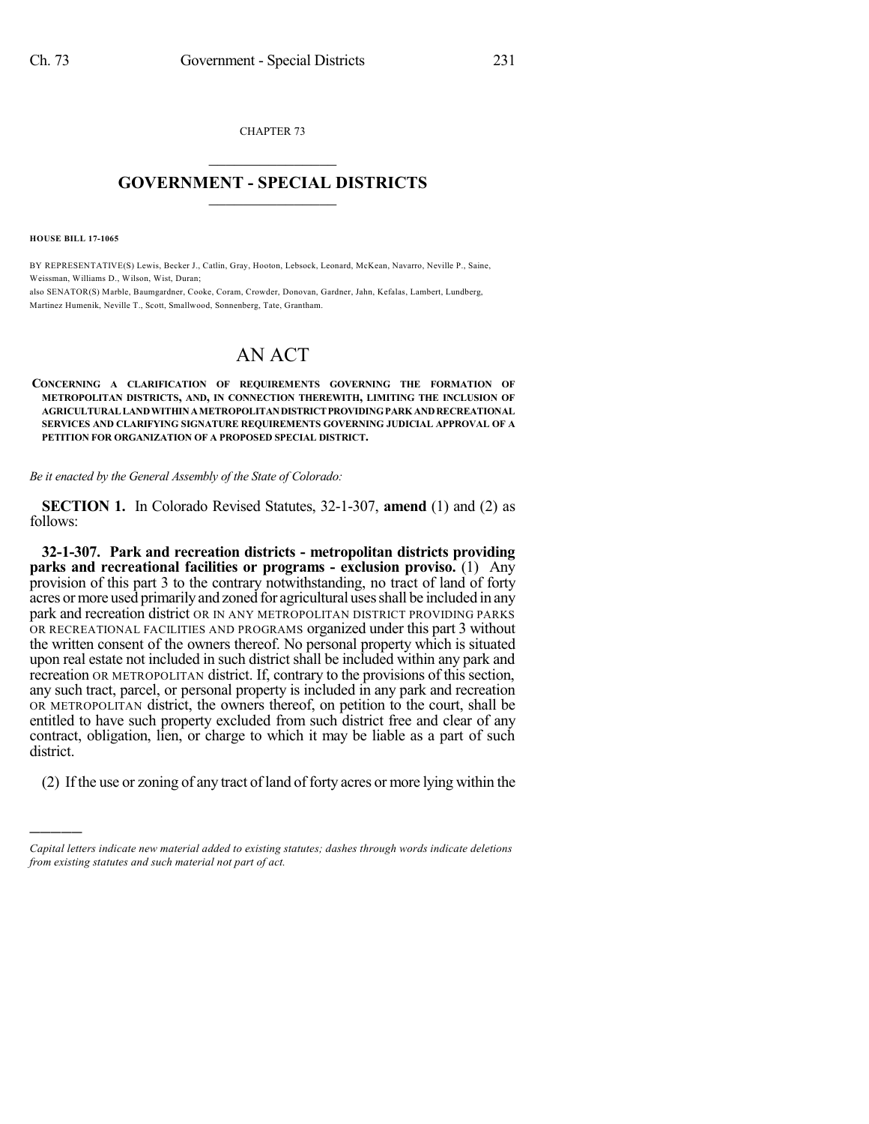CHAPTER 73  $\overline{\phantom{a}}$  . The set of the set of the set of the set of the set of the set of the set of the set of the set of the set of the set of the set of the set of the set of the set of the set of the set of the set of the set o

## **GOVERNMENT - SPECIAL DISTRICTS**  $\_$   $\_$

**HOUSE BILL 17-1065**

)))))

BY REPRESENTATIVE(S) Lewis, Becker J., Catlin, Gray, Hooton, Lebsock, Leonard, McKean, Navarro, Neville P., Saine, Weissman, Williams D., Wilson, Wist, Duran;

also SENATOR(S) Marble, Baumgardner, Cooke, Coram, Crowder, Donovan, Gardner, Jahn, Kefalas, Lambert, Lundberg, Martinez Humenik, Neville T., Scott, Smallwood, Sonnenberg, Tate, Grantham.

## AN ACT

**CONCERNING A CLARIFICATION OF REQUIREMENTS GOVERNING THE FORMATION OF METROPOLITAN DISTRICTS, AND, IN CONNECTION THEREWITH, LIMITING THE INCLUSION OF AGRICULTURALLANDWITHINAMETROPOLITANDISTRICTPROVIDINGPARK ANDRECREATIONAL SERVICES AND CLARIFYING SIGNATURE REQUIREMENTS GOVERNING JUDICIAL APPROVAL OF A PETITION FOR ORGANIZATION OF A PROPOSED SPECIAL DISTRICT.**

*Be it enacted by the General Assembly of the State of Colorado:*

**SECTION 1.** In Colorado Revised Statutes, 32-1-307, **amend** (1) and (2) as follows:

**32-1-307. Park and recreation districts - metropolitan districts providing parks and recreational facilities or programs - exclusion proviso.** (1) Any provision of this part 3 to the contrary notwithstanding, no tract of land of forty acres ormore used primarilyand zoned for agricultural usesshall be included in any park and recreation district OR IN ANY METROPOLITAN DISTRICT PROVIDING PARKS OR RECREATIONAL FACILITIES AND PROGRAMS organized under this part 3 without the written consent of the owners thereof. No personal property which is situated upon real estate not included in such district shall be included within any park and recreation OR METROPOLITAN district. If, contrary to the provisions of this section, any such tract, parcel, or personal property is included in any park and recreation OR METROPOLITAN district, the owners thereof, on petition to the court, shall be entitled to have such property excluded from such district free and clear of any contract, obligation, lien, or charge to which it may be liable as a part of such district.

(2) If the use or zoning of any tract ofland of forty acres or more lying within the

*Capital letters indicate new material added to existing statutes; dashes through words indicate deletions from existing statutes and such material not part of act.*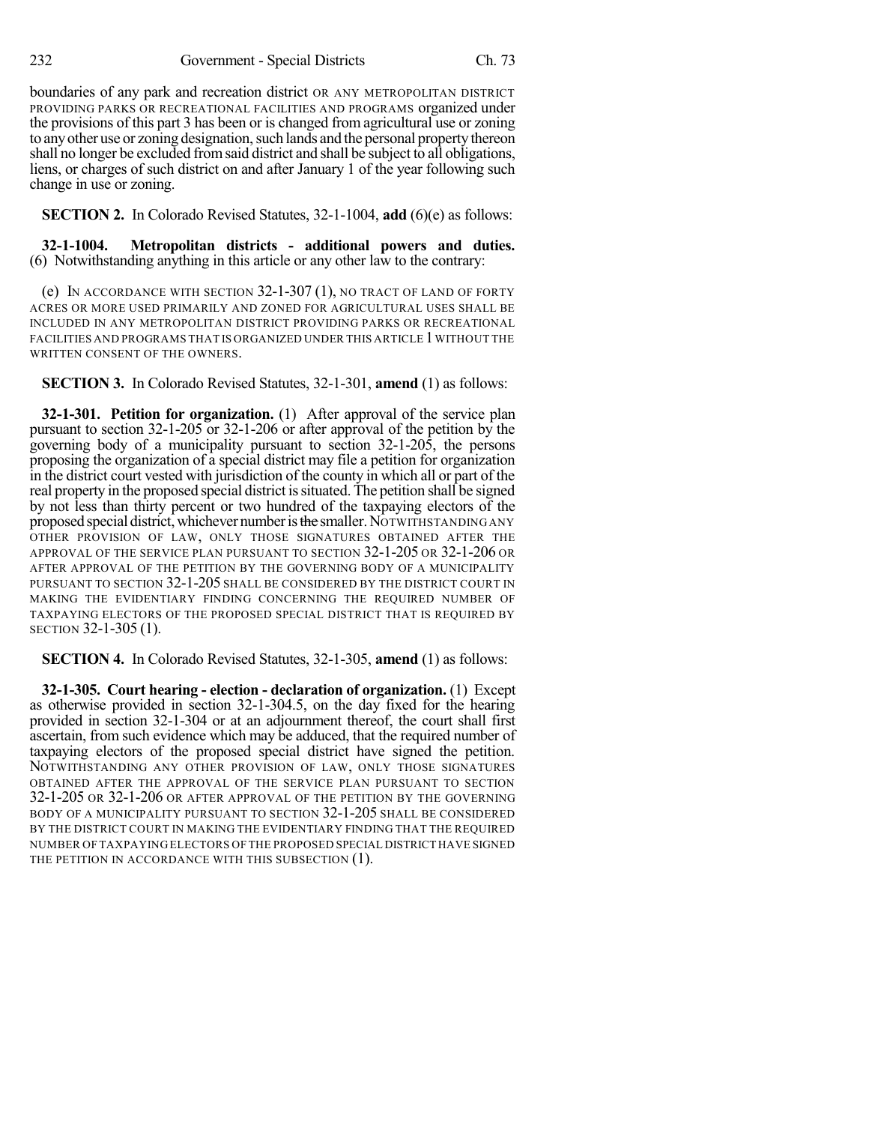boundaries of any park and recreation district OR ANY METROPOLITAN DISTRICT PROVIDING PARKS OR RECREATIONAL FACILITIES AND PROGRAMS organized under the provisions of this part 3 has been or is changed from agricultural use or zoning to any other use or zoning designation, such lands and the personal property thereon shall no longer be excluded fromsaid district and shall be subject to all obligations, liens, or charges of such district on and after January 1 of the year following such change in use or zoning.

**SECTION 2.** In Colorado Revised Statutes, 32-1-1004, **add** (6)(e) as follows:

**32-1-1004. Metropolitan districts - additional powers and duties.** (6) Notwithstanding anything in this article or any other law to the contrary:

(e) IN ACCORDANCE WITH SECTION  $32-1-307(1)$ , no tract of Land of forty ACRES OR MORE USED PRIMARILY AND ZONED FOR AGRICULTURAL USES SHALL BE INCLUDED IN ANY METROPOLITAN DISTRICT PROVIDING PARKS OR RECREATIONAL FACILITIES AND PROGRAMS THAT IS ORGANIZED UNDER THIS ARTICLE 1WITHOUT THE WRITTEN CONSENT OF THE OWNERS.

**SECTION 3.** In Colorado Revised Statutes, 32-1-301, **amend** (1) as follows:

**32-1-301. Petition for organization.** (1) After approval of the service plan pursuant to section 32-1-205 or 32-1-206 or after approval of the petition by the governing body of a municipality pursuant to section 32-1-205, the persons proposing the organization of a special district may file a petition for organization in the district court vested with jurisdiction of the county in which all or part of the real property in the proposed special district issituated. The petition shall be signed by not less than thirty percent or two hundred of the taxpaying electors of the proposed special district, whichever number is the smaller. NOTWITHSTANDING ANY OTHER PROVISION OF LAW, ONLY THOSE SIGNATURES OBTAINED AFTER THE APPROVAL OF THE SERVICE PLAN PURSUANT TO SECTION 32-1-205 OR 32-1-206 OR AFTER APPROVAL OF THE PETITION BY THE GOVERNING BODY OF A MUNICIPALITY PURSUANT TO SECTION 32-1-205 SHALL BE CONSIDERED BY THE DISTRICT COURT IN MAKING THE EVIDENTIARY FINDING CONCERNING THE REQUIRED NUMBER OF TAXPAYING ELECTORS OF THE PROPOSED SPECIAL DISTRICT THAT IS REQUIRED BY SECTION 32-1-305 (1).

**SECTION 4.** In Colorado Revised Statutes, 32-1-305, **amend** (1) as follows:

**32-1-305. Court hearing - election - declaration of organization.** (1) Except as otherwise provided in section 32-1-304.5, on the day fixed for the hearing provided in section 32-1-304 or at an adjournment thereof, the court shall first ascertain, from such evidence which may be adduced, that the required number of taxpaying electors of the proposed special district have signed the petition. NOTWITHSTANDING ANY OTHER PROVISION OF LAW, ONLY THOSE SIGNATURES OBTAINED AFTER THE APPROVAL OF THE SERVICE PLAN PURSUANT TO SECTION 32-1-205 OR 32-1-206 OR AFTER APPROVAL OF THE PETITION BY THE GOVERNING BODY OF A MUNICIPALITY PURSUANT TO SECTION 32-1-205 SHALL BE CONSIDERED BY THE DISTRICT COURT IN MAKING THE EVIDENTIARY FINDING THAT THE REQUIRED NUMBER OF TAXPAYING ELECTORS OF THE PROPOSED SPECIAL DISTRICT HAVE SIGNED THE PETITION IN ACCORDANCE WITH THIS SUBSECTION (1).